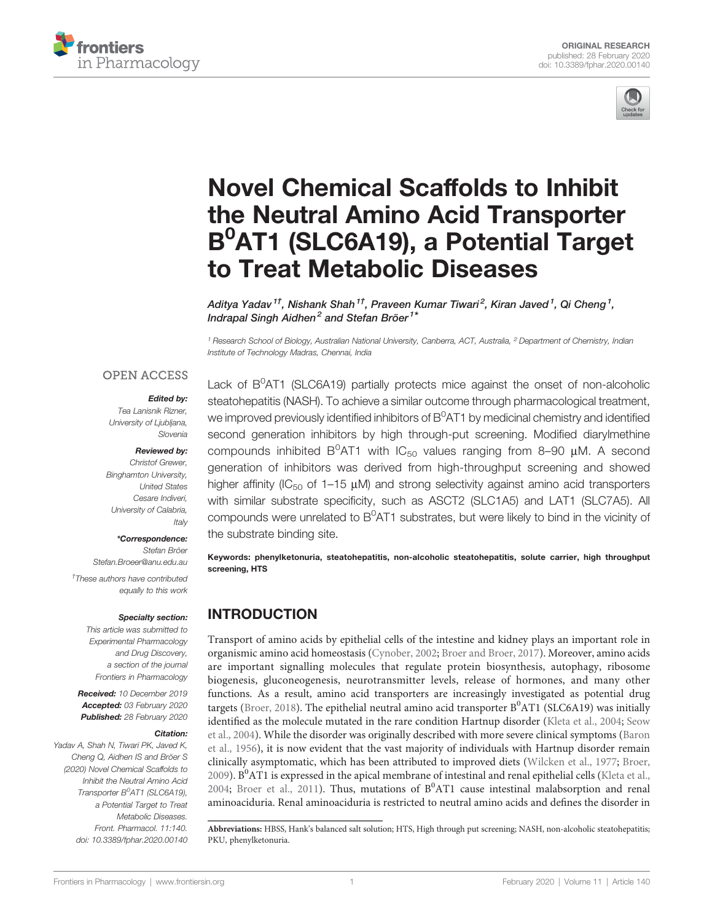



# Novel Chemical Scaffolds to Inhibit the Neutral Amino Acid Transporter B <sup>0</sup>AT1 (SLC6A19), a Potential Target to Treat Metabolic Diseases

Aditya Yadav<sup>1†</sup>, Nishank Shah<sup>1†</sup>, Praveen Kumar Tiwari<sup>2</sup>, Kiran Javed<sup>1</sup>, Qi Cheng<sup>1</sup>, Indrapal Singh Aidhen<sup>2</sup> and Stefan Bröer<sup>1\*</sup>

<sup>1</sup> Research School of Biology, Australian National University, Canberra, ACT, Australia, <sup>2</sup> Department of Chemistry, Indian Institute of Technology Madras, Chennai, India

#### **OPEN ACCESS**

#### Edited by:

Tea Lanisnik Rizner, University of Ljubljana, Slovenia

#### Reviewed by:

Christof Grewer, Binghamton University, United States Cesare Indiveri, University of Calabria, Italy

#### \*Correspondence:

Stefan Bröer Stefan.Broeer@anu.edu.au † These authors have contributed equally to this work

#### Specialty section:

This article was submitted to Experimental Pharmacology and Drug Discovery, a section of the journal Frontiers in Pharmacology

Received: 10 December 2019 Accepted: 03 February 2020 Published: 28 February 2020

#### Citation:

Yadav A, Shah N, Tiwari PK, Javed K, Cheng Q, Aidhen IS and Bröer S (2020) Novel Chemical Scaffolds to Inhibit the Neutral Amino Acid Transporter B<sup>0</sup>AT1 (SLC6A19), a Potential Target to Treat Metabolic Diseases. Front. Pharmacol. 11:140. doi: 10.3389/fphar.2020.00140

Lack of B<sup>0</sup>AT1 (SLC6A19) partially protects mice against the onset of non-alcoholic steatohepatitis (NASH). To achieve a similar outcome through pharmacological treatment, we improved previously identified inhibitors of  $\mathsf{B}^0$ AT1 by medicinal chemistry and identified second generation inhibitors by high through-put screening. Modified diarylmethine compounds inhibited  $B^0AT1$  with  $IC_{50}$  values ranging from 8–90 µM. A second generation of inhibitors was derived from high-throughput screening and showed higher affinity ( $IC_{50}$  of 1–15  $µM$ ) and strong selectivity against amino acid transporters with similar substrate specificity, such as ASCT2 (SLC1A5) and LAT1 (SLC7A5). All compounds were unrelated to  $B^0AT1$  substrates, but were likely to bind in the vicinity of the substrate binding site.

Keywords: phenylketonuria, steatohepatitis, non-alcoholic steatohepatitis, solute carrier, high throughput screening, HTS

### INTRODUCTION

Transport of amino acids by epithelial cells of the intestine and kidney plays an important role in organismic amino acid homeostasis (Cynober, 2002; Broer and Broer, 2017). Moreover, amino acids are important signalling molecules that regulate protein biosynthesis, autophagy, ribosome biogenesis, gluconeogenesis, neurotransmitter levels, release of hormones, and many other functions. As a result, amino acid transporters are increasingly investigated as potential drug targets (Broer, 2018). The epithelial neutral amino acid transporter  $B^0AT1$  (SLC6A19) was initially identified as the molecule mutated in the rare condition Hartnup disorder (Kleta et al., 2004; Seow et al., 2004). While the disorder was originally described with more severe clinical symptoms (Baron et al., 1956), it is now evident that the vast majority of individuals with Hartnup disorder remain clinically asymptomatic, which has been attributed to improved diets (Wilcken et al., 1977; Broer, 2009).  $B^{0}AT1$  is expressed in the apical membrane of intestinal and renal epithelial cells (Kleta et al., 2004; Broer et al., 2011). Thus, mutations of  $B^0AT1$  cause intestinal malabsorption and renal aminoaciduria. Renal aminoaciduria is restricted to neutral amino acids and defines the disorder in

Abbreviations: HBSS, Hank's balanced salt solution; HTS, High through put screening; NASH, non-alcoholic steatohepatitis; PKU, phenylketonuria.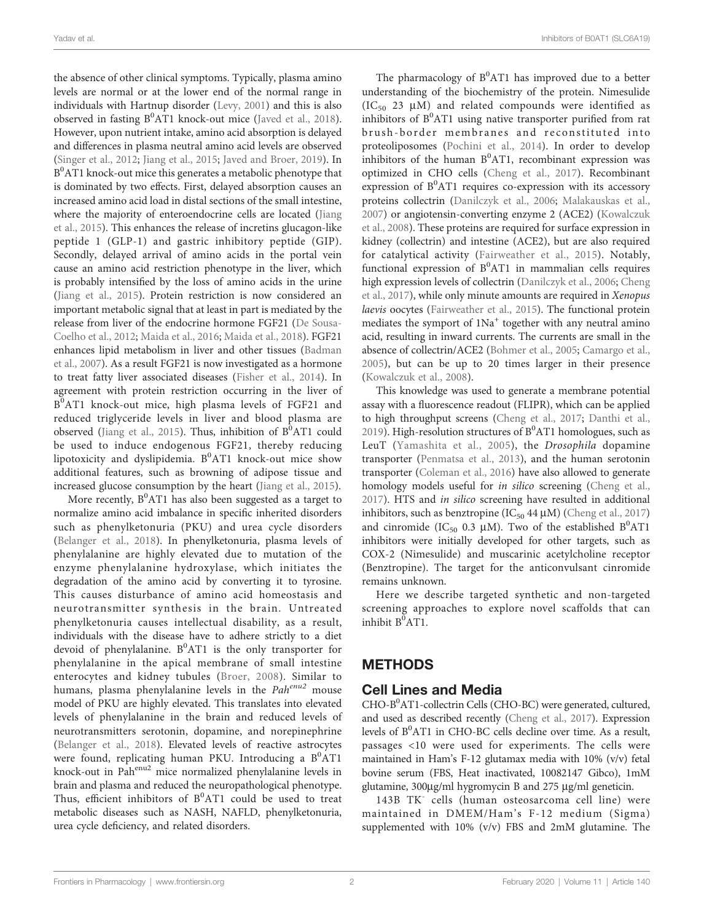the absence of other clinical symptoms. Typically, plasma amino levels are normal or at the lower end of the normal range in individuals with Hartnup disorder (Levy, 2001) and this is also observed in fasting  $B^0$ AT1 knock-out mice (Javed et al., 2018). However, upon nutrient intake, amino acid absorption is delayed and differences in plasma neutral amino acid levels are observed (Singer et al., 2012; Jiang et al., 2015; Javed and Broer, 2019). In B<sup>0</sup>AT1 knock-out mice this generates a metabolic phenotype that is dominated by two effects. First, delayed absorption causes an increased amino acid load in distal sections of the small intestine, where the majority of enteroendocrine cells are located (Jiang et al., 2015). This enhances the release of incretins glucagon-like peptide 1 (GLP-1) and gastric inhibitory peptide (GIP). Secondly, delayed arrival of amino acids in the portal vein cause an amino acid restriction phenotype in the liver, which is probably intensified by the loss of amino acids in the urine (Jiang et al., 2015). Protein restriction is now considered an important metabolic signal that at least in part is mediated by the release from liver of the endocrine hormone FGF21 (De Sousa-Coelho et al., 2012; Maida et al., 2016; Maida et al., 2018). FGF21 enhances lipid metabolism in liver and other tissues (Badman et al., 2007). As a result FGF21 is now investigated as a hormone to treat fatty liver associated diseases (Fisher et al., 2014). In agreement with protein restriction occurring in the liver of B<sup>0</sup>AT1 knock-out mice, high plasma levels of FGF21 and reduced triglyceride levels in liver and blood plasma are observed (Jiang et al., 2015). Thus, inhibition of  $B^0AT1$  could be used to induce endogenous FGF21, thereby reducing lipotoxicity and dyslipidemia.  $B^{0}AT1$  knock-out mice show additional features, such as browning of adipose tissue and increased glucose consumption by the heart (Jiang et al., 2015).

More recently,  $B^0 A T1$  has also been suggested as a target to normalize amino acid imbalance in specific inherited disorders such as phenylketonuria (PKU) and urea cycle disorders (Belanger et al., 2018). In phenylketonuria, plasma levels of phenylalanine are highly elevated due to mutation of the enzyme phenylalanine hydroxylase, which initiates the degradation of the amino acid by converting it to tyrosine. This causes disturbance of amino acid homeostasis and neurotransmitter synthesis in the brain. Untreated phenylketonuria causes intellectual disability, as a result, individuals with the disease have to adhere strictly to a diet devoid of phenylalanine.  $B^{0}AT1$  is the only transporter for phenylalanine in the apical membrane of small intestine enterocytes and kidney tubules (Broer, 2008). Similar to humans, plasma phenylalanine levels in the Pahenu2 mouse model of PKU are highly elevated. This translates into elevated levels of phenylalanine in the brain and reduced levels of neurotransmitters serotonin, dopamine, and norepinephrine (Belanger et al., 2018). Elevated levels of reactive astrocytes were found, replicating human PKU. Introducing a  $B^{0}AT1$ knock-out in Pah<sup>enu2</sup> mice normalized phenylalanine levels in brain and plasma and reduced the neuropathological phenotype. Thus, efficient inhibitors of  $B^0 A T1$  could be used to treat metabolic diseases such as NASH, NAFLD, phenylketonuria, urea cycle deficiency, and related disorders.

The pharmacology of  $B^0$ AT1 has improved due to a better understanding of the biochemistry of the protein. Nimesulide  $(IC_{50} 23 \mu M)$  and related compounds were identified as inhibitors of  $B^0$ AT1 using native transporter purified from rat brush-border membranes and reconstituted into proteoliposomes (Pochini et al., 2014). In order to develop inhibitors of the human  $B^{0}AT1$ , recombinant expression was optimized in CHO cells (Cheng et al., 2017). Recombinant expression of  $B^0$ AT1 requires co-expression with its accessory proteins collectrin (Danilczyk et al., 2006; Malakauskas et al., 2007) or angiotensin-converting enzyme 2 (ACE2) (Kowalczuk et al., 2008). These proteins are required for surface expression in kidney (collectrin) and intestine (ACE2), but are also required for catalytical activity (Fairweather et al., 2015). Notably, functional expression of  $B^0$ AT1 in mammalian cells requires high expression levels of collectrin (Danilczyk et al., 2006; Cheng et al., 2017), while only minute amounts are required in Xenopus laevis oocytes (Fairweather et al., 2015). The functional protein mediates the symport of  $1Na<sup>+</sup>$  together with any neutral amino acid, resulting in inward currents. The currents are small in the absence of collectrin/ACE2 (Bohmer et al., 2005; Camargo et al., 2005), but can be up to 20 times larger in their presence (Kowalczuk et al., 2008).

This knowledge was used to generate a membrane potential assay with a fluorescence readout (FLIPR), which can be applied to high throughput screens (Cheng et al., 2017; Danthi et al., 2019). High-resolution structures of  $B^0 A T1$  homologues, such as LeuT (Yamashita et al., 2005), the Drosophila dopamine transporter (Penmatsa et al., 2013), and the human serotonin transporter (Coleman et al., 2016) have also allowed to generate homology models useful for *in silico* screening (Cheng et al., 2017). HTS and in silico screening have resulted in additional inhibitors, such as benztropine ( $IC_{50}$  44  $\mu$ M) (Cheng et al., 2017) and cinromide (IC<sub>50</sub> 0.3  $\mu$ M). Two of the established B<sup>0</sup>AT1 inhibitors were initially developed for other targets, such as COX-2 (Nimesulide) and muscarinic acetylcholine receptor (Benztropine). The target for the anticonvulsant cinromide remains unknown.

Here we describe targeted synthetic and non-targeted screening approaches to explore novel scaffolds that can inhibit  $B^0AT1$ .

### METHODS

#### Cell Lines and Media

CHO-B<sup>0</sup>AT1-collectrin Cells (CHO-BC) were generated, cultured, and used as described recently (Cheng et al., 2017). Expression levels of  $B^0$ AT1 in CHO-BC cells decline over time. As a result, passages <10 were used for experiments. The cells were maintained in Ham's F-12 glutamax media with 10% (v/v) fetal bovine serum (FBS, Heat inactivated, 10082147 Gibco), 1mM glutamine,  $300\mu$ g/ml hygromycin B and  $275 \mu$ g/ml geneticin.

143B TK-cells (human osteosarcoma cell line) were maintained in DMEM/Ham's F-12 medium (Sigma) supplemented with 10% (v/v) FBS and 2mM glutamine. The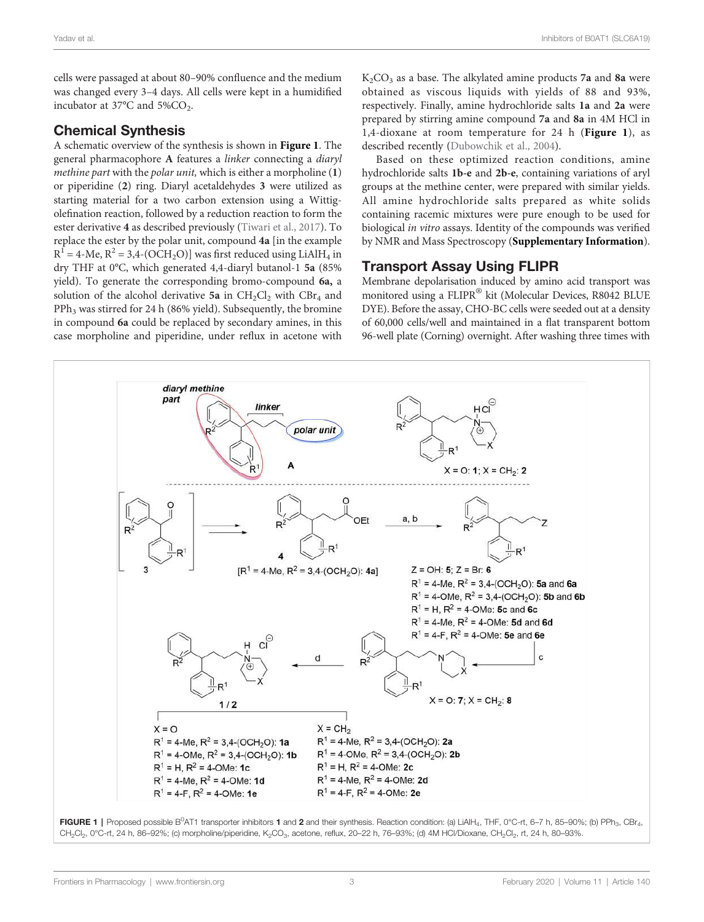cells were passaged at about 80–90% confluence and the medium was changed every 3–4 days. All cells were kept in a humidified incubator at  $37^{\circ}$ C and  $5\%$ CO<sub>2</sub>.

### Chemical Synthesis

A schematic overview of the synthesis is shown in Figure 1. The general pharmacophore A features a linker connecting a diaryl methine part with the polar unit, which is either a morpholine (1) or piperidine (2) ring. Diaryl acetaldehydes 3 were utilized as starting material for a two carbon extension using a Wittigolefination reaction, followed by a reduction reaction to form the ester derivative 4 as described previously (Tiwari et al., 2017). To replace the ester by the polar unit, compound 4a [in the example  $R^1 = 4$ -Me,  $R^2 = 3,4$ -(OCH<sub>2</sub>O)] was first reduced using LiAlH<sub>4</sub> in dry THF at 0°C, which generated 4,4-diaryl butanol-1 5a (85% yield). To generate the corresponding bromo-compound 6a, a solution of the alcohol derivative 5a in  $CH_2Cl_2$  with  $CBr_4$  and  $PPh<sub>3</sub>$  was stirred for 24 h (86% yield). Subsequently, the bromine in compound 6a could be replaced by secondary amines, in this case morpholine and piperidine, under reflux in acetone with

 $K_2CO_3$  as a base. The alkylated amine products 7a and 8a were obtained as viscous liquids with yields of 88 and 93%, respectively. Finally, amine hydrochloride salts 1a and 2a were prepared by stirring amine compound 7a and 8a in 4M HCl in 1,4-dioxane at room temperature for 24 h (Figure 1), as described recently (Dubowchik et al., 2004).

Based on these optimized reaction conditions, amine hydrochloride salts 1b-e and 2b-e, containing variations of aryl groups at the methine center, were prepared with similar yields. All amine hydrochloride salts prepared as white solids containing racemic mixtures were pure enough to be used for biological in vitro assays. Identity of the compounds was verified by NMR and Mass Spectroscopy (Supplementary Information).

# Transport Assay Using FLIPR

Membrane depolarisation induced by amino acid transport was monitored using a FLIPR® kit (Molecular Devices, R8042 BLUE DYE). Before the assay, CHO-BC cells were seeded out at a density of 60,000 cells/well and maintained in a flat transparent bottom 96-well plate (Corning) overnight. After washing three times with



FIGURE 1 | Proposed possible B<sup>0</sup>AT1 transporter inhibitors 1 and 2 and their synthesis. Reaction condition: (a) LiAlH<sub>4</sub>, THF, 0°C-rt, 6-7 h, 85-90%; (b) PPh<sub>3</sub>, CBr<sub>4</sub>, CH<sub>2</sub>Cl<sub>2</sub>, 0°C-rt, 24 h, 86-92%; (c) morpholine/piperidine, K<sub>2</sub>CO<sub>3</sub>, acetone, reflux, 20-22 h, 76-93%; (d) 4M HCl/Dioxane, CH<sub>2</sub>Cl<sub>2</sub>, rt, 24 h, 80-93%.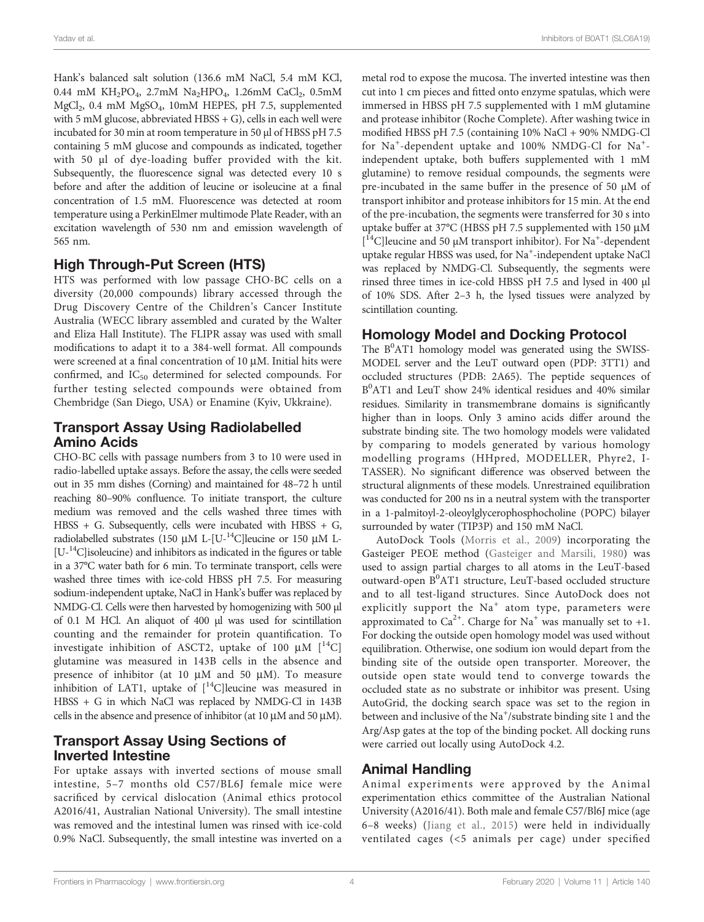Hank's balanced salt solution (136.6 mM NaCl, 5.4 mM KCl,  $0.44$  mM KH<sub>2</sub>PO<sub>4</sub>, 2.7mM Na<sub>2</sub>HPO<sub>4</sub>, 1.26mM CaCl<sub>2</sub>, 0.5mM MgCl<sup>2</sup> , 0.4 mM MgSO<sup>4</sup> , 10mM HEPES, pH 7.5, supplemented with 5 mM glucose, abbreviated HBSS  $+ G$ ), cells in each well were incubated for 30 min at room temperature in 50 µl of HBSS pH 7.5 containing 5 mM glucose and compounds as indicated, together with 50 µl of dye-loading buffer provided with the kit. Subsequently, the fluorescence signal was detected every 10 s before and after the addition of leucine or isoleucine at a final concentration of 1.5 mM. Fluorescence was detected at room temperature using a PerkinElmer multimode Plate Reader, with an excitation wavelength of 530 nm and emission wavelength of 565 nm.

# High Through-Put Screen (HTS)

HTS was performed with low passage CHO-BC cells on a diversity (20,000 compounds) library accessed through the Drug Discovery Centre of the Children's Cancer Institute Australia (WECC library assembled and curated by the Walter and Eliza Hall Institute). The FLIPR assay was used with small modifications to adapt it to a 384-well format. All compounds were screened at a final concentration of  $10 \mu$ M. Initial hits were confirmed, and  $IC_{50}$  determined for selected compounds. For further testing selected compounds were obtained from Chembridge (San Diego, USA) or Enamine (Kyiv, Ukkraine).

### Transport Assay Using Radiolabelled Amino Acids

CHO-BC cells with passage numbers from 3 to 10 were used in radio-labelled uptake assays. Before the assay, the cells were seeded out in 35 mm dishes (Corning) and maintained for 48–72 h until reaching 80–90% confluence. To initiate transport, the culture medium was removed and the cells washed three times with HBSS + G. Subsequently, cells were incubated with HBSS + G, radiolabelled substrates (150 µM L-[U-<sup>14</sup>C]leucine or 150 µM L- $[U<sup>-14</sup>C]$ isoleucine) and inhibitors as indicated in the figures or table in a 37°C water bath for 6 min. To terminate transport, cells were washed three times with ice-cold HBSS pH 7.5. For measuring sodium-independent uptake, NaCl in Hank's buffer was replaced by NMDG-Cl. Cells were then harvested by homogenizing with 500 µl of 0.1 M HCl. An aliquot of 400 µl was used for scintillation counting and the remainder for protein quantification. To investigate inhibition of ASCT2, uptake of 100  $\mu$ M [<sup>14</sup>C] glutamine was measured in 143B cells in the absence and presence of inhibitor (at 10  $\mu$ M and 50  $\mu$ M). To measure inhibition of LAT1, uptake of  $[{}^{14}C]$  leucine was measured in HBSS + G in which NaCl was replaced by NMDG-Cl in 143B cells in the absence and presence of inhibitor (at  $10 \mu$ M and  $50 \mu$ M).

# Transport Assay Using Sections of Inverted Intestine

For uptake assays with inverted sections of mouse small intestine, 5–7 months old C57/BL6J female mice were sacrificed by cervical dislocation (Animal ethics protocol A2016/41, Australian National University). The small intestine was removed and the intestinal lumen was rinsed with ice-cold 0.9% NaCl. Subsequently, the small intestine was inverted on a metal rod to expose the mucosa. The inverted intestine was then cut into 1 cm pieces and fitted onto enzyme spatulas, which were immersed in HBSS pH 7.5 supplemented with 1 mM glutamine and protease inhibitor (Roche Complete). After washing twice in modified HBSS pH 7.5 (containing 10% NaCl + 90% NMDG-Cl for Na<sup>+</sup>-dependent uptake and 100% NMDG-Cl for Na<sup>+</sup>independent uptake, both buffers supplemented with 1 mM glutamine) to remove residual compounds, the segments were pre-incubated in the same buffer in the presence of 50 µM of transport inhibitor and protease inhibitors for 15 min. At the end of the pre-incubation, the segments were transferred for 30 s into uptake buffer at 37°C (HBSS pH 7.5 supplemented with 150  $\mu$ M [<sup>14</sup>C]leucine and 50 µM transport inhibitor). For Na<sup>+</sup>-dependent uptake regular HBSS was used, for Na<sup>+</sup>-independent uptake NaCl was replaced by NMDG-Cl. Subsequently, the segments were rinsed three times in ice-cold HBSS pH 7.5 and lysed in 400 µl of 10% SDS. After 2–3 h, the lysed tissues were analyzed by scintillation counting.

# Homology Model and Docking Protocol

The  $B^{0}AT1$  homology model was generated using the SWISS-MODEL server and the LeuT outward open (PDP: 3TT1) and occluded structures (PDB: 2A65). The peptide sequences of B <sup>0</sup>AT1 and LeuT show 24% identical residues and 40% similar residues. Similarity in transmembrane domains is significantly higher than in loops. Only 3 amino acids differ around the substrate binding site. The two homology models were validated by comparing to models generated by various homology modelling programs (HHpred, MODELLER, Phyre2, I-TASSER). No significant difference was observed between the structural alignments of these models. Unrestrained equilibration was conducted for 200 ns in a neutral system with the transporter in a 1-palmitoyl-2-oleoylglycerophosphocholine (POPC) bilayer surrounded by water (TIP3P) and 150 mM NaCl.

AutoDock Tools (Morris et al., 2009) incorporating the Gasteiger PEOE method (Gasteiger and Marsili, 1980) was used to assign partial charges to all atoms in the LeuT-based outward-open B<sup>0</sup>AT1 structure, LeuT-based occluded structure and to all test-ligand structures. Since AutoDock does not explicitly support the Na<sup>+</sup> atom type, parameters were approximated to  $Ca^{2+}$ . Charge for Na<sup>+</sup> was manually set to +1. For docking the outside open homology model was used without equilibration. Otherwise, one sodium ion would depart from the binding site of the outside open transporter. Moreover, the outside open state would tend to converge towards the occluded state as no substrate or inhibitor was present. Using AutoGrid, the docking search space was set to the region in between and inclusive of the Na<sup>+</sup>/substrate binding site 1 and the Arg/Asp gates at the top of the binding pocket. All docking runs were carried out locally using AutoDock 4.2.

### Animal Handling

Animal experiments were approved by the Animal experimentation ethics committee of the Australian National University (A2016/41). Both male and female C57/Bl6J mice (age 6–8 weeks) (Jiang et al., 2015) were held in individually ventilated cages (<5 animals per cage) under specified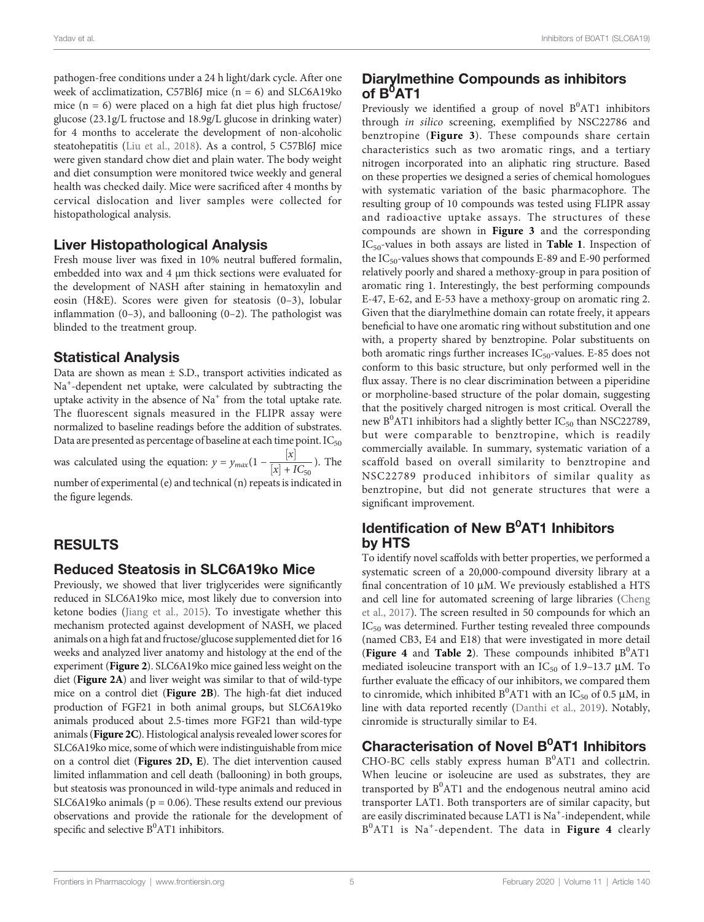pathogen-free conditions under a 24 h light/dark cycle. After one week of acclimatization, C57Bl6J mice  $(n = 6)$  and SLC6A19ko mice  $(n = 6)$  were placed on a high fat diet plus high fructose/ glucose (23.1g/L fructose and 18.9g/L glucose in drinking water) for 4 months to accelerate the development of non-alcoholic steatohepatitis (Liu et al., 2018). As a control, 5 C57Bl6J mice were given standard chow diet and plain water. The body weight and diet consumption were monitored twice weekly and general health was checked daily. Mice were sacrificed after 4 months by cervical dislocation and liver samples were collected for histopathological analysis.

### Liver Histopathological Analysis

Fresh mouse liver was fixed in 10% neutral buffered formalin, embedded into wax and 4 µm thick sections were evaluated for the development of NASH after staining in hematoxylin and eosin (H&E). Scores were given for steatosis (0–3), lobular inflammation (0–3), and ballooning (0–2). The pathologist was blinded to the treatment group.

### Statistical Analysis

Data are shown as mean  $\pm$  S.D., transport activities indicated as Na<sup>+</sup>-dependent net uptake, were calculated by subtracting the uptake activity in the absence of  $Na<sup>+</sup>$  from the total uptake rate. The fluorescent signals measured in the FLIPR assay were normalized to baseline readings before the addition of substrates. Data are presented as percentage of baseline at each time point.  $IC_{50}$ was calculated using the equation:  $y = y_{max}(1 - \frac{x}{[x] + IC_{50}})$ . The number of experimental (e) and technical (n) repeats is indicated in the figure legends.

# RESULTS

# Reduced Steatosis in SLC6A19ko Mice

Previously, we showed that liver triglycerides were significantly reduced in SLC6A19ko mice, most likely due to conversion into ketone bodies (Jiang et al., 2015). To investigate whether this mechanism protected against development of NASH, we placed animals on a high fat and fructose/glucose supplemented diet for 16 weeks and analyzed liver anatomy and histology at the end of the experiment (Figure 2). SLC6A19ko mice gained less weight on the diet (Figure 2A) and liver weight was similar to that of wild-type mice on a control diet (Figure 2B). The high-fat diet induced production of FGF21 in both animal groups, but SLC6A19ko animals produced about 2.5-times more FGF21 than wild-type animals (Figure 2C). Histological analysis revealed lower scores for SLC6A19ko mice, some of which were indistinguishable from mice on a control diet (Figures 2D, E). The diet intervention caused limited inflammation and cell death (ballooning) in both groups, but steatosis was pronounced in wild-type animals and reduced in SLC6A19ko animals ( $p = 0.06$ ). These results extend our previous observations and provide the rationale for the development of specific and selective  $B^0$ AT1 inhibitors.

# Diarylmethine Compounds as inhibitors of  $B^0$ AT1

Previously we identified a group of novel  $B^0 A T1$  inhibitors through in silico screening, exemplified by NSC22786 and benztropine (Figure 3). These compounds share certain characteristics such as two aromatic rings, and a tertiary nitrogen incorporated into an aliphatic ring structure. Based on these properties we designed a series of chemical homologues with systematic variation of the basic pharmacophore. The resulting group of 10 compounds was tested using FLIPR assay and radioactive uptake assays. The structures of these compounds are shown in Figure 3 and the corresponding  $IC_{50}$ -values in both assays are listed in **Table 1**. Inspection of the  $IC_{50}$ -values shows that compounds E-89 and E-90 performed relatively poorly and shared a methoxy-group in para position of aromatic ring 1. Interestingly, the best performing compounds E-47, E-62, and E-53 have a methoxy-group on aromatic ring 2. Given that the diarylmethine domain can rotate freely, it appears beneficial to have one aromatic ring without substitution and one with, a property shared by benztropine. Polar substituents on both aromatic rings further increases  $IC_{50}$ -values. E-85 does not conform to this basic structure, but only performed well in the flux assay. There is no clear discrimination between a piperidine or morpholine-based structure of the polar domain, suggesting that the positively charged nitrogen is most critical. Overall the new  $B^{0}AT1$  inhibitors had a slightly better  $IC_{50}$  than NSC22789, but were comparable to benztropine, which is readily commercially available. In summary, systematic variation of a scaffold based on overall similarity to benztropine and NSC22789 produced inhibitors of similar quality as benztropine, but did not generate structures that were a significant improvement.

# Identification of New B<sup>0</sup>AT1 Inhibitors by HTS

To identify novel scaffolds with better properties, we performed a systematic screen of a 20,000-compound diversity library at a final concentration of 10  $\mu$ M. We previously established a HTS and cell line for automated screening of large libraries (Cheng et al., 2017). The screen resulted in 50 compounds for which an IC<sub>50</sub> was determined. Further testing revealed three compounds (named CB3, E4 and E18) that were investigated in more detail (Figure 4 and Table 2). These compounds inhibited  $B^0 A T1$ mediated isoleucine transport with an  $IC_{50}$  of 1.9–13.7 µM. To further evaluate the efficacy of our inhibitors, we compared them to cinromide, which inhibited  $B^0AT1$  with an IC<sub>50</sub> of 0.5 µM, in line with data reported recently (Danthi et al., 2019). Notably, cinromide is structurally similar to E4.

# Characterisation of Novel B<sup>0</sup>AT1 Inhibitors

CHO-BC cells stably express human  $B^{0}AT1$  and collectrin. When leucine or isoleucine are used as substrates, they are transported by  $B^0$ AT1 and the endogenous neutral amino acid transporter LAT1. Both transporters are of similar capacity, but are easily discriminated because LAT1 is Na<sup>+</sup>-independent, while B<sup>0</sup>AT1 is Na<sup>+</sup>-dependent. The data in Figure 4 clearly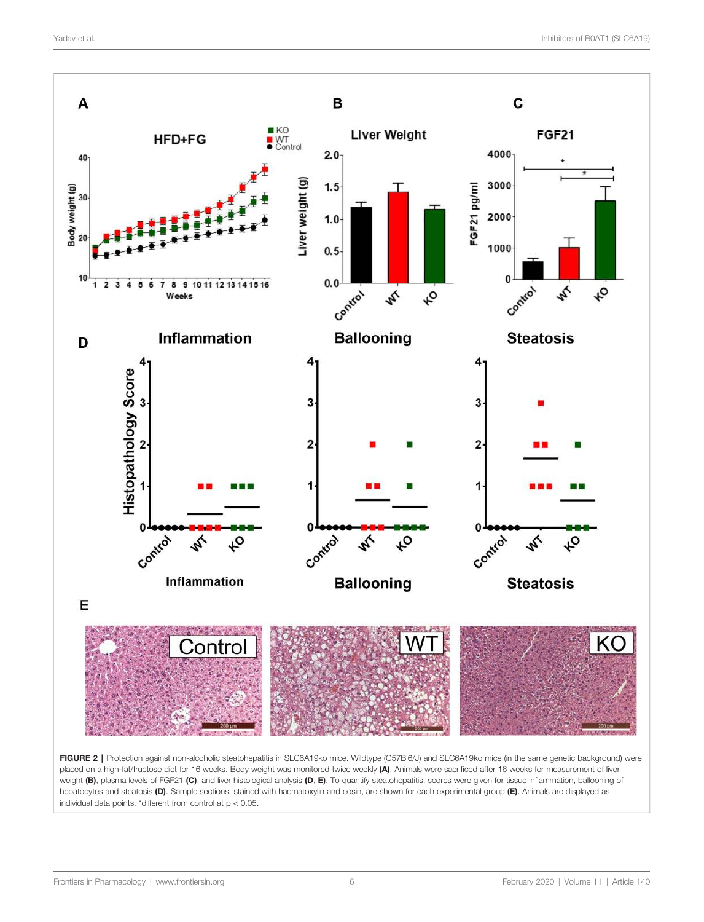

FIGURE 2 | Protection against non-alcoholic steatohepatitis in SLC6A19ko mice. Wildtype (C57Bl6/J) and SLC6A19ko mice (in the same genetic background) were placed on a high-fat/fructose diet for 16 weeks. Body weight was monitored twice weekly (A). Animals were sacrificed after 16 weeks for measurement of liver weight (B), plasma levels of FGF21 (C), and liver histological analysis (D, E). To quantify steatohepatitis, scores were given for tissue inflammation, ballooning of hepatocytes and steatosis (D). Sample sections, stained with haematoxylin and eosin, are shown for each experimental group (E). Animals are displayed as individual data points. \*different from control at p < 0.05.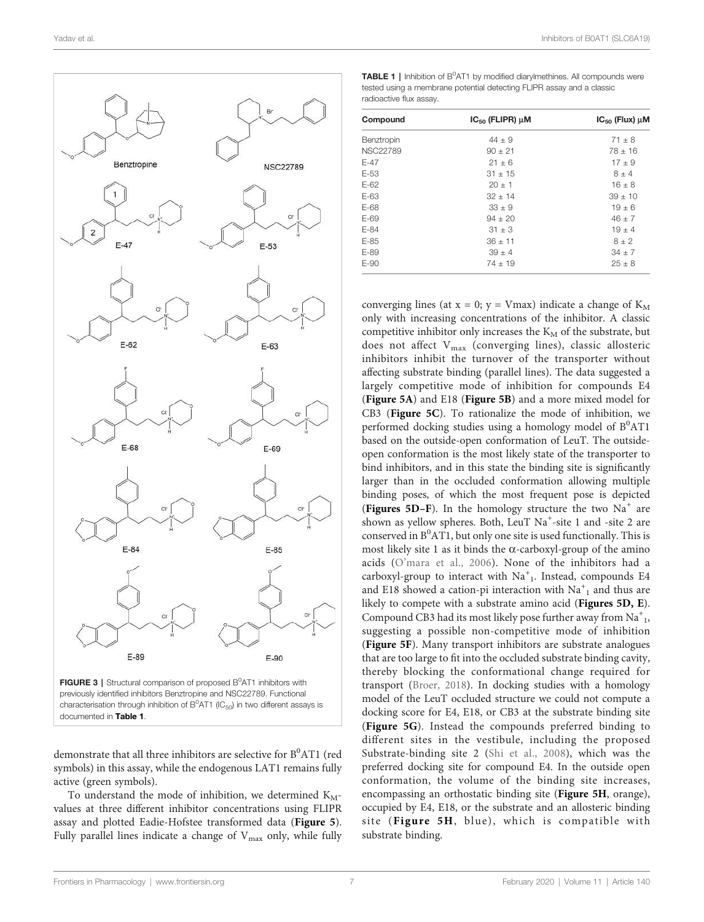

previously identified inhibitors Benztropine and NSC22789. Functional characterisation through inhibition of  $B^0AT1$  (IC<sub>50</sub>) in two different assays is documented in Table 1.

demonstrate that all three inhibitors are selective for B<sup>0</sup>AT1 (red symbols) in this assay, while the endogenous LAT1 remains fully active (green symbols).

To understand the mode of inhibition, we determined  $K_M$ values at three different inhibitor concentrations using FLIPR assay and plotted Eadie-Hofstee transformed data (Figure 5). Fully parallel lines indicate a change of  $V_{\text{max}}$  only, while fully

TABLE 1 | Inhibition of B<sup>0</sup>AT1 by modified diarylmethines. All compounds were tested using a membrane potential detecting FLIPR assay and a classic radioactive flux assay.

| Compound        | $IC_{50}$ (FLIPR) $\mu$ M | $IC_{50}$ (Flux) $\mu$ M |
|-----------------|---------------------------|--------------------------|
| Benztropin      | $44 \pm 9$                | $71 + 8$                 |
| <b>NSC22789</b> | $90 + 21$                 | $78 \pm 16$              |
| $E-47$          | $21 \pm 6$                | $17 \pm 9$               |
| $E-53$          | $31 + 15$                 | $8 \pm 4$                |
| $F-62$          | $20 + 1$                  | $16 \pm 8$               |
| $E-63$          | $32 + 14$                 | $39 + 10$                |
| $E-68$          | $33 \pm 9$                | $19 \pm 6$               |
| $E-69$          | $94 + 20$                 | $46 + 7$                 |
| $E-84$          | $31 \pm 3$                | $19 \pm 4$               |
| $E-85$          | $36 \pm 11$               | $8 + 2$                  |
| $F-89$          | $39 \pm 4$                | $34 \pm 7$               |
| $E-90$          | $74 + 19$                 | $25 \pm 8$               |

converging lines (at  $x = 0$ ;  $y = Vmax$ ) indicate a change of  $K_M$ only with increasing concentrations of the inhibitor. A classic competitive inhibitor only increases the  $K_M$  of the substrate, but does not affect  $V_{\text{max}}$  (converging lines), classic allosteric inhibitors inhibit the turnover of the transporter without affecting substrate binding (parallel lines). The data suggested a largely competitive mode of inhibition for compounds E4 (Figure 5A) and E18 (Figure 5B) and a more mixed model for CB3 (Figure 5C). To rationalize the mode of inhibition, we performed docking studies using a homology model of  $B^0 A T1$ based on the outside-open conformation of LeuT. The outsideopen conformation is the most likely state of the transporter to bind inhibitors, and in this state the binding site is significantly larger than in the occluded conformation allowing multiple binding poses, of which the most frequent pose is depicted (Figures 5D-F). In the homology structure the two  $Na<sup>+</sup>$  are shown as yellow spheres. Both, LeuT Na<sup>+</sup>-site 1 and -site 2 are conserved in  $B^0$ AT1, but only one site is used functionally. This is most likely site 1 as it binds the  $\alpha$ -carboxyl-group of the amino acids (O'mara et al., 2006). None of the inhibitors had a carboxyl-group to interact with Na<sup>+</sup><sub>1</sub>. Instead, compounds E4 and E18 showed a cation-pi interaction with  $\mathrm{Na}^+_{\mathrm{1}}$  and thus are likely to compete with a substrate amino acid (Figures 5D, E). Compound CB3 had its most likely pose further away from  $\mathrm{Na}^+_{1},$ suggesting a possible non-competitive mode of inhibition (Figure 5F). Many transport inhibitors are substrate analogues that are too large to fit into the occluded substrate binding cavity, thereby blocking the conformational change required for transport (Broer, 2018). In docking studies with a homology model of the LeuT occluded structure we could not compute a docking score for E4, E18, or CB3 at the substrate binding site (Figure 5G). Instead the compounds preferred binding to different sites in the vestibule, including the proposed Substrate-binding site 2 (Shi et al., 2008), which was the preferred docking site for compound E4. In the outside open conformation, the volume of the binding site increases, encompassing an orthostatic binding site (Figure 5H, orange), occupied by E4, E18, or the substrate and an allosteric binding site (Figure 5H, blue), which is compatible with substrate binding.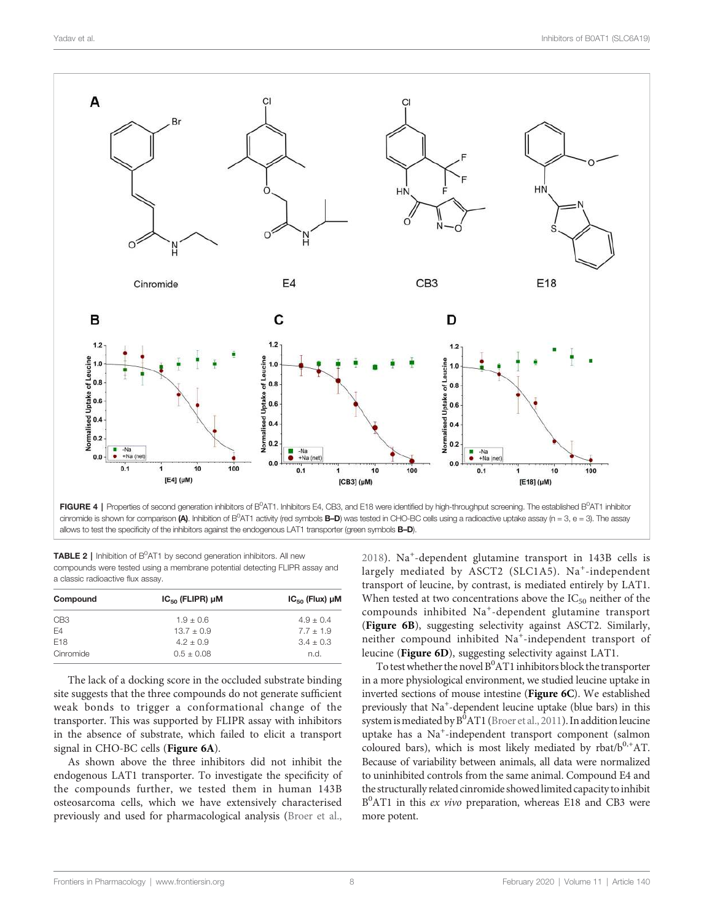

FIGURE 4 | Properties of second generation inhibitors of B<sup>o</sup>AT1. Inhibitors E4, CB3, and E18 were identified by high-throughput screening. The established B<sup>o</sup>AT1 inhibitor cinromide is shown for comparison (A). Inhibition of B<sup>o</sup>AT1 activity (red symbols B–D) was tested in CHO-BC cells using a radioactive uptake assay (n = 3, e = 3). The assay allows to test the specificity of the inhibitors against the endogenous LAT1 transporter (green symbols **B-D**).

**TABLE 2** | Inhibition of  $B^0AT1$  by second generation inhibitors. All new compounds were tested using a membrane potential detecting FLIPR assay and a classic radioactive flux assay.

| Compound        | $IC_{50}$ (FLIPR) $µM$ | $IC_{50}$ (Flux) $\mu$ M |
|-----------------|------------------------|--------------------------|
| CB <sub>3</sub> | $1.9 + 0.6$            | $4.9 + 0.4$              |
| F4              | $13.7 + 0.9$           | $7.7 + 1.9$              |
| <b>E18</b>      | $4.2 + 0.9$            | $3.4 + 0.3$              |
| Cinromide       | $0.5 + 0.08$           | n.d.                     |

The lack of a docking score in the occluded substrate binding site suggests that the three compounds do not generate sufficient weak bonds to trigger a conformational change of the transporter. This was supported by FLIPR assay with inhibitors in the absence of substrate, which failed to elicit a transport signal in CHO-BC cells (Figure 6A).

As shown above the three inhibitors did not inhibit the endogenous LAT1 transporter. To investigate the specificity of the compounds further, we tested them in human 143B osteosarcoma cells, which we have extensively characterised previously and used for pharmacological analysis (Broer et al.,

2018). Na<sup>+</sup> -dependent glutamine transport in 143B cells is largely mediated by ASCT2 (SLC1A5). Na<sup>+</sup>-independent transport of leucine, by contrast, is mediated entirely by LAT1. When tested at two concentrations above the  $IC_{50}$  neither of the compounds inhibited Na<sup>+</sup> -dependent glutamine transport (Figure 6B), suggesting selectivity against ASCT2. Similarly, neither compound inhibited Na<sup>+</sup>-independent transport of leucine (Figure 6D), suggesting selectivity against LAT1.

To test whether the novel  $B^0$ AT1 inhibitors block the transporter in a more physiological environment, we studied leucine uptake in inverted sections of mouse intestine (Figure 6C). We established previously that Na<sup>+</sup>-dependent leucine uptake (blue bars) in this system is mediated by  $B^0$ AT1 (Broer et al., 2011). In addition leucine uptake has a Na<sup>+</sup> -independent transport component (salmon coloured bars), which is most likely mediated by rbat/ $b^{0,+}AT$ . Because of variability between animals, all data were normalized to uninhibited controls from the same animal. Compound E4 and the structurally related cinromide showedlimited capacity to inhibit B<sup>0</sup>AT1 in this ex vivo preparation, whereas E18 and CB3 were more potent.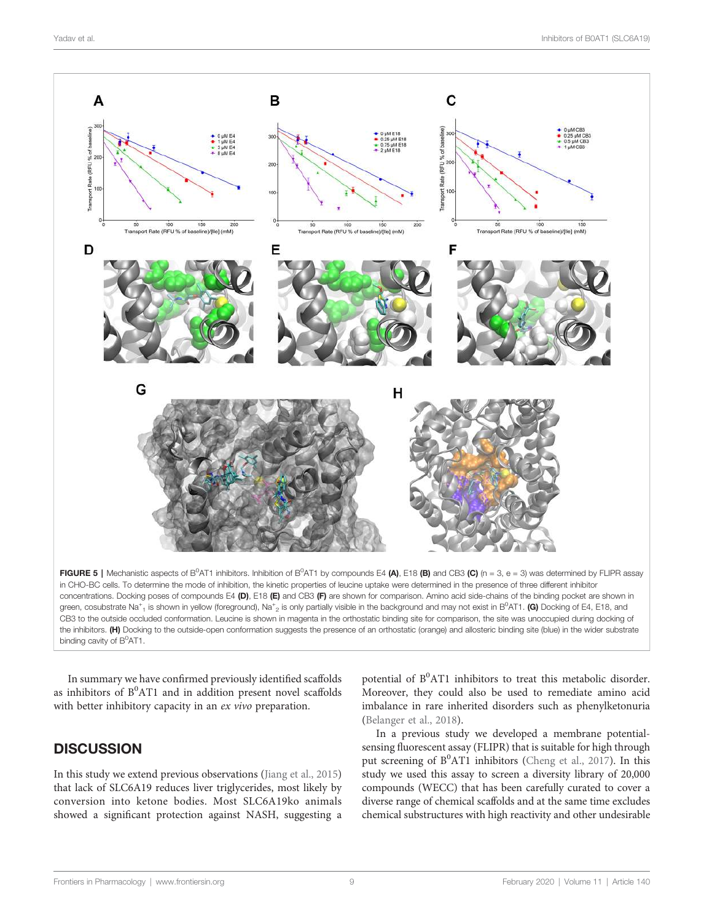



In summary we have confirmed previously identified scaffolds as inhibitors of  $B^0AT1$  and in addition present novel scaffolds with better inhibitory capacity in an ex vivo preparation.

# **DISCUSSION**

In this study we extend previous observations (Jiang et al., 2015) that lack of SLC6A19 reduces liver triglycerides, most likely by conversion into ketone bodies. Most SLC6A19ko animals showed a significant protection against NASH, suggesting a

potential of B<sup>0</sup>AT1 inhibitors to treat this metabolic disorder. Moreover, they could also be used to remediate amino acid imbalance in rare inherited disorders such as phenylketonuria (Belanger et al., 2018).

In a previous study we developed a membrane potentialsensing fluorescent assay (FLIPR) that is suitable for high through put screening of  $B^0$ AT1 inhibitors (Cheng et al., 2017). In this study we used this assay to screen a diversity library of 20,000 compounds (WECC) that has been carefully curated to cover a diverse range of chemical scaffolds and at the same time excludes chemical substructures with high reactivity and other undesirable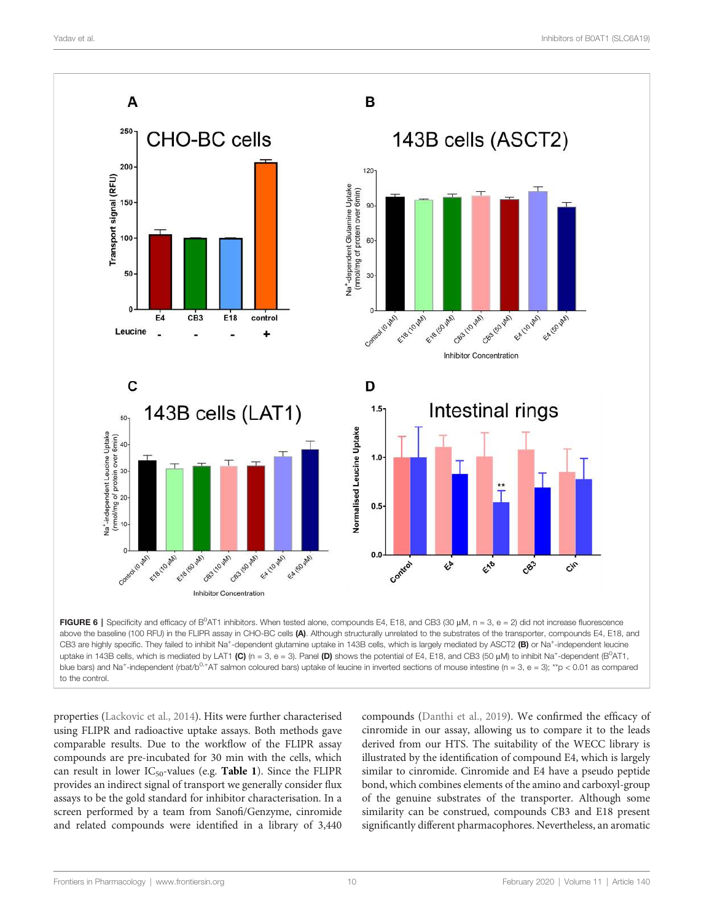

FIGURE 6 | Specificity and efficacy of B<sup>0</sup>AT1 inhibitors. When tested alone, compounds E4, E18, and CB3 (30 µM, n = 3, e = 2) did not increase fluorescence above the baseline (100 RFU) in the FLIPR assay in CHO-BC cells (A). Although structurally unrelated to the substrates of the transporter, compounds E4, E18, and CB3 are highly specific. They failed to inhibit Na<sup>+</sup>-dependent glutamine uptake in 143B cells, which is largely mediated by ASCT2 (B) or Na<sup>+</sup>-independent leucine uptake in 143B cells, which is mediated by LAT1 (C) (n = 3, e = 3). Panel (D) shows the potential of E4, E18, and CB3 (50 µM) to inhibit Na<sup>+</sup>-dependent (B<sup>0</sup>AT1, blue bars) and Na<sup>+</sup>-independent (rbat/b<sup>0,+</sup>AT salmon coloured bars) uptake of leucine in inverted sections of mouse intestine (n = 3, e = 3); \*\*p < 0.01 as compared to the control.

properties (Lackovic et al., 2014). Hits were further characterised using FLIPR and radioactive uptake assays. Both methods gave comparable results. Due to the workflow of the FLIPR assay compounds are pre-incubated for 30 min with the cells, which can result in lower  $IC_{50}$ -values (e.g. Table 1). Since the FLIPR provides an indirect signal of transport we generally consider flux assays to be the gold standard for inhibitor characterisation. In a screen performed by a team from Sanofi/Genzyme, cinromide and related compounds were identified in a library of 3,440 compounds (Danthi et al., 2019). We confirmed the efficacy of cinromide in our assay, allowing us to compare it to the leads derived from our HTS. The suitability of the WECC library is illustrated by the identification of compound E4, which is largely similar to cinromide. Cinromide and E4 have a pseudo peptide bond, which combines elements of the amino and carboxyl-group of the genuine substrates of the transporter. Although some similarity can be construed, compounds CB3 and E18 present significantly different pharmacophores. Nevertheless, an aromatic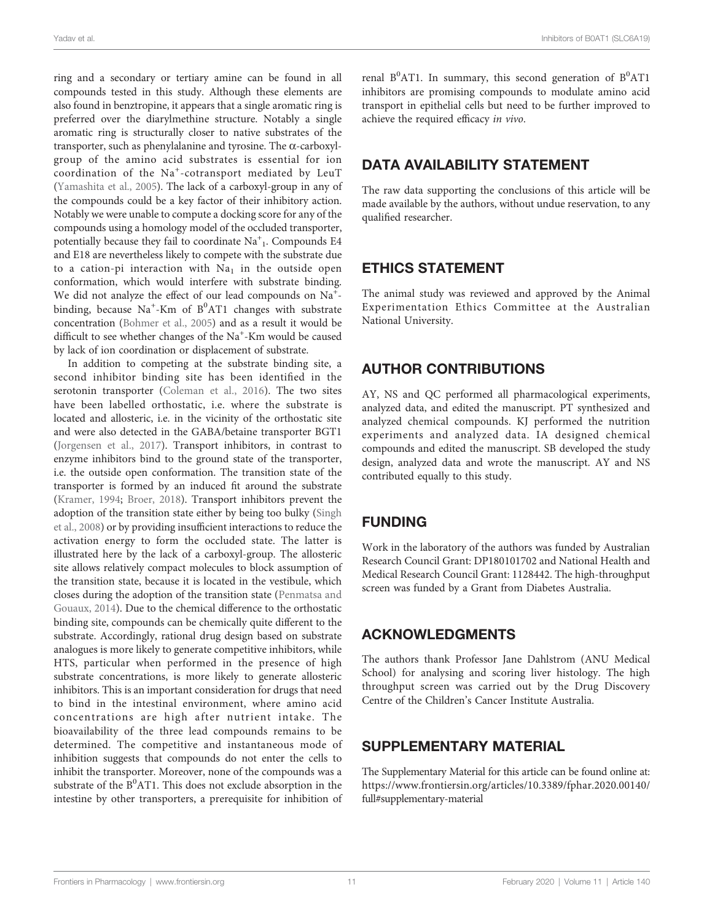Yadav et al. Inhibitors of B0AT1 (SLC6A19)

ring and a secondary or tertiary amine can be found in all compounds tested in this study. Although these elements are also found in benztropine, it appears that a single aromatic ring is preferred over the diarylmethine structure. Notably a single aromatic ring is structurally closer to native substrates of the transporter, such as phenylalanine and tyrosine. The  $\alpha$ -carboxylgroup of the amino acid substrates is essential for ion coordination of the Na<sup>+</sup>-cotransport mediated by LeuT (Yamashita et al., 2005). The lack of a carboxyl-group in any of the compounds could be a key factor of their inhibitory action. Notably we were unable to compute a docking score for any of the compounds using a homology model of the occluded transporter, potentially because they fail to coordinate Na<sup>+</sup><sub>1</sub>. Compounds E4 and E18 are nevertheless likely to compete with the substrate due to a cation-pi interaction with  $Na<sub>1</sub>$  in the outside open conformation, which would interfere with substrate binding. We did not analyze the effect of our lead compounds on  $Na^+$ binding, because Na<sup>+</sup>-Km of B<sup>0</sup>AT1 changes with substrate concentration (Bohmer et al., 2005) and as a result it would be difficult to see whether changes of the Na<sup>+</sup>-Km would be caused by lack of ion coordination or displacement of substrate.

In addition to competing at the substrate binding site, a second inhibitor binding site has been identified in the serotonin transporter (Coleman et al., 2016). The two sites have been labelled orthostatic, i.e. where the substrate is located and allosteric, i.e. in the vicinity of the orthostatic site and were also detected in the GABA/betaine transporter BGT1 (Jorgensen et al., 2017). Transport inhibitors, in contrast to enzyme inhibitors bind to the ground state of the transporter, i.e. the outside open conformation. The transition state of the transporter is formed by an induced fit around the substrate (Kramer, 1994; Broer, 2018). Transport inhibitors prevent the adoption of the transition state either by being too bulky (Singh et al., 2008) or by providing insufficient interactions to reduce the activation energy to form the occluded state. The latter is illustrated here by the lack of a carboxyl-group. The allosteric site allows relatively compact molecules to block assumption of the transition state, because it is located in the vestibule, which closes during the adoption of the transition state (Penmatsa and Gouaux, 2014). Due to the chemical difference to the orthostatic binding site, compounds can be chemically quite different to the substrate. Accordingly, rational drug design based on substrate analogues is more likely to generate competitive inhibitors, while HTS, particular when performed in the presence of high substrate concentrations, is more likely to generate allosteric inhibitors. This is an important consideration for drugs that need to bind in the intestinal environment, where amino acid concentrations are high after nutrient intake. The bioavailability of the three lead compounds remains to be determined. The competitive and instantaneous mode of inhibition suggests that compounds do not enter the cells to inhibit the transporter. Moreover, none of the compounds was a substrate of the  $B^0$ AT1. This does not exclude absorption in the intestine by other transporters, a prerequisite for inhibition of renal  $B^0$ AT1. In summary, this second generation of  $B^0$ AT1 inhibitors are promising compounds to modulate amino acid transport in epithelial cells but need to be further improved to achieve the required efficacy in vivo.

# DATA AVAILABILITY STATEMENT

The raw data supporting the conclusions of this article will be made available by the authors, without undue reservation, to any qualified researcher.

# ETHICS STATEMENT

The animal study was reviewed and approved by the Animal Experimentation Ethics Committee at the Australian National University.

# AUTHOR CONTRIBUTIONS

AY, NS and QC performed all pharmacological experiments, analyzed data, and edited the manuscript. PT synthesized and analyzed chemical compounds. KJ performed the nutrition experiments and analyzed data. IA designed chemical compounds and edited the manuscript. SB developed the study design, analyzed data and wrote the manuscript. AY and NS contributed equally to this study.

# FUNDING

Work in the laboratory of the authors was funded by Australian Research Council Grant: DP180101702 and National Health and Medical Research Council Grant: 1128442. The high-throughput screen was funded by a Grant from Diabetes Australia.

# ACKNOWLEDGMENTS

The authors thank Professor Jane Dahlstrom (ANU Medical School) for analysing and scoring liver histology. The high throughput screen was carried out by the Drug Discovery Centre of the Children's Cancer Institute Australia.

# SUPPLEMENTARY MATERIAL

The Supplementary Material for this article can be found online at: https://www.frontiersin.org/articles/10.3389/fphar.2020.00140/ full#supplementary-material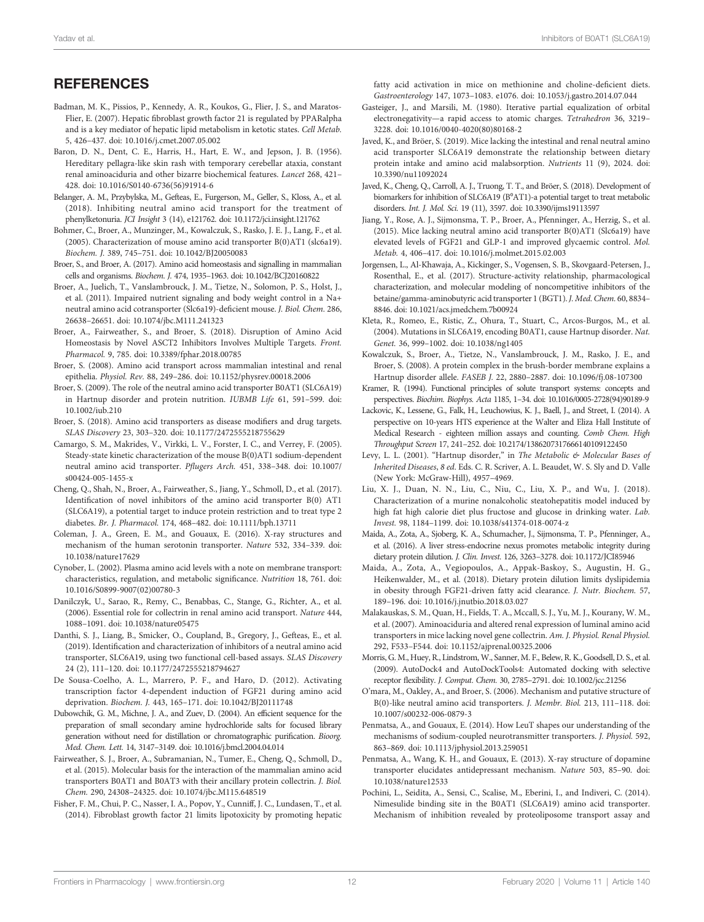# **REFERENCES**

- Badman, M. K., Pissios, P., Kennedy, A. R., Koukos, G., Flier, J. S., and Maratos-Flier, E. (2007). Hepatic fibroblast growth factor 21 is regulated by PPARalpha and is a key mediator of hepatic lipid metabolism in ketotic states. Cell Metab. 5, 426–437. doi: 10.1016/j.cmet.2007.05.002
- Baron, D. N., Dent, C. E., Harris, H., Hart, E. W., and Jepson, J. B. (1956). Hereditary pellagra-like skin rash with temporary cerebellar ataxia, constant renal aminoaciduria and other bizarre biochemical features. Lancet 268, 421– 428. doi: 10.1016/S0140-6736(56)91914-6
- Belanger, A. M., Przybylska, M., Gefteas, E., Furgerson, M., Geller, S., Kloss, A., et al. (2018). Inhibiting neutral amino acid transport for the treatment of phenylketonuria. JCI Insight 3 (14), e121762. doi: 10.1172/jci.insight.121762
- Bohmer, C., Broer, A., Munzinger, M., Kowalczuk, S., Rasko, J. E. J., Lang, F., et al. (2005). Characterization of mouse amino acid transporter B(0)AT1 (slc6a19). Biochem. J. 389, 745–751. doi: 10.1042/BJ20050083
- Broer, S., and Broer, A. (2017). Amino acid homeostasis and signalling in mammalian cells and organisms. Biochem. J. 474, 1935–1963. doi: 10.1042/BCJ20160822
- Broer, A., Juelich, T., Vanslambrouck, J. M., Tietze, N., Solomon, P. S., Holst, J., et al. (2011). Impaired nutrient signaling and body weight control in a Na+ neutral amino acid cotransporter (Slc6a19)-deficient mouse. J. Biol. Chem. 286, 26638–26651. doi: 10.1074/jbc.M111.241323
- Broer, A., Fairweather, S., and Broer, S. (2018). Disruption of Amino Acid Homeostasis by Novel ASCT2 Inhibitors Involves Multiple Targets. Front. Pharmacol. 9, 785. doi: 10.3389/fphar.2018.00785
- Broer, S. (2008). Amino acid transport across mammalian intestinal and renal epithelia. Physiol. Rev. 88, 249–286. doi: 10.1152/physrev.00018.2006
- Broer, S. (2009). The role of the neutral amino acid transporter B0AT1 (SLC6A19) in Hartnup disorder and protein nutrition. IUBMB Life 61, 591–599. doi: 10.1002/iub.210
- Broer, S. (2018). Amino acid transporters as disease modifiers and drug targets. SLAS Discovery 23, 303–320. doi: 10.1177/2472555218755629
- Camargo, S. M., Makrides, V., Virkki, L. V., Forster, I. C., and Verrey, F. (2005). Steady-state kinetic characterization of the mouse B(0)AT1 sodium-dependent neutral amino acid transporter. Pflugers Arch. 451, 338–348. doi: 10.1007/ s00424-005-1455-x
- Cheng, Q., Shah, N., Broer, A., Fairweather, S., Jiang, Y., Schmoll, D., et al. (2017). Identification of novel inhibitors of the amino acid transporter B(0) AT1 (SLC6A19), a potential target to induce protein restriction and to treat type 2 diabetes. Br. J. Pharmacol. 174, 468–482. doi: 10.1111/bph.13711
- Coleman, J. A., Green, E. M., and Gouaux, E. (2016). X-ray structures and mechanism of the human serotonin transporter. Nature 532, 334–339. doi: 10.1038/nature17629
- Cynober, L. (2002). Plasma amino acid levels with a note on membrane transport: characteristics, regulation, and metabolic significance. Nutrition 18, 761. doi: 10.1016/S0899-9007(02)00780-3
- Danilczyk, U., Sarao, R., Remy, C., Benabbas, C., Stange, G., Richter, A., et al. (2006). Essential role for collectrin in renal amino acid transport. Nature 444, 1088–1091. doi: 10.1038/nature05475
- Danthi, S. J., Liang, B., Smicker, O., Coupland, B., Gregory, J., Gefteas, E., et al. (2019). Identification and characterization of inhibitors of a neutral amino acid transporter, SLC6A19, using two functional cell-based assays. SLAS Discovery 24 (2), 111–120. doi: 10.1177/2472555218794627
- De Sousa-Coelho, A. L., Marrero, P. F., and Haro, D. (2012). Activating transcription factor 4-dependent induction of FGF21 during amino acid deprivation. Biochem. J. 443, 165–171. doi: 10.1042/BJ20111748
- Dubowchik, G. M., Michne, J. A., and Zuev, D. (2004). An efficient sequence for the preparation of small secondary amine hydrochloride salts for focused library generation without need for distillation or chromatographic purification. Bioorg. Med. Chem. Lett. 14, 3147–3149. doi: 10.1016/j.bmcl.2004.04.014
- Fairweather, S. J., Broer, A., Subramanian, N., Tumer, E., Cheng, Q., Schmoll, D., et al. (2015). Molecular basis for the interaction of the mammalian amino acid transporters B0AT1 and B0AT3 with their ancillary protein collectrin. J. Biol. Chem. 290, 24308–24325. doi: 10.1074/jbc.M115.648519
- Fisher, F. M., Chui, P. C., Nasser, I. A., Popov, Y., Cunniff, J. C., Lundasen, T., et al. (2014). Fibroblast growth factor 21 limits lipotoxicity by promoting hepatic

fatty acid activation in mice on methionine and choline-deficient diets. Gastroenterology 147, 1073–1083. e1076. doi: 10.1053/j.gastro.2014.07.044

- Gasteiger, J., and Marsili, M. (1980). Iterative partial equalization of orbital electronegativity—a rapid access to atomic charges. Tetrahedron 36, 3219– 3228. doi: 10.1016/0040-4020(80)80168-2
- Javed, K., and Bröer, S. (2019). Mice lacking the intestinal and renal neutral amino acid transporter SLC6A19 demonstrate the relationship between dietary protein intake and amino acid malabsorption. Nutrients 11 (9), 2024. doi: 10.3390/nu11092024
- Javed, K., Cheng, Q., Carroll, A. J., Truong, T. T., and Bröer, S. (2018). Development of biomarkers for inhibition of SLC6A19 (B°AT1)-a potential target to treat metabolic disorders. Int. J. Mol. Sci. 19 (11), 3597. doi: 10.3390/ijms19113597
- Jiang, Y., Rose, A. J., Sijmonsma, T. P., Broer, A., Pfenninger, A., Herzig, S., et al. (2015). Mice lacking neutral amino acid transporter B(0)AT1 (Slc6a19) have elevated levels of FGF21 and GLP-1 and improved glycaemic control. Mol. Metab. 4, 406–417. doi: 10.1016/j.molmet.2015.02.003
- Jorgensen, L., Al-Khawaja, A., Kickinger, S., Vogensen, S. B., Skovgaard-Petersen, J., Rosenthal, E., et al. (2017). Structure-activity relationship, pharmacological characterization, and molecular modeling of noncompetitive inhibitors of the betaine/gamma-aminobutyric acid transporter 1 (BGT1). J. Med. Chem. 60, 8834– 8846. doi: 10.1021/acs.jmedchem.7b00924
- Kleta, R., Romeo, E., Ristic, Z., Ohura, T., Stuart, C., Arcos-Burgos, M., et al. (2004). Mutations in SLC6A19, encoding B0AT1, cause Hartnup disorder. Nat. Genet. 36, 999–1002. doi: 10.1038/ng1405
- Kowalczuk, S., Broer, A., Tietze, N., Vanslambrouck, J. M., Rasko, J. E., and Broer, S. (2008). A protein complex in the brush-border membrane explains a Hartnup disorder allele. FASEB J. 22, 2880–2887. doi: 10.1096/fj.08-107300
- Kramer, R. (1994). Functional principles of solute transport systems: concepts and perspectives. Biochim. Biophys. Acta 1185, 1–34. doi: 10.1016/0005-2728(94)90189-9
- Lackovic, K., Lessene, G., Falk, H., Leuchowius, K. J., Baell, J., and Street, I. (2014). A perspective on 10-years HTS experience at the Walter and Eliza Hall Institute of Medical Research - eighteen million assays and counting. Comb Chem. High Throughput Screen 17, 241–252. doi: 10.2174/1386207317666140109122450
- Levy, L. L. (2001). "Hartnup disorder," in The Metabolic & Molecular Bases of Inherited Diseases, 8 ed. Eds. C. R. Scriver, A. L. Beaudet, W. S. Sly and D. Valle (New York: McGraw-Hill), 4957–4969.
- Liu, X. J., Duan, N. N., Liu, C., Niu, C., Liu, X. P., and Wu, J. (2018). Characterization of a murine nonalcoholic steatohepatitis model induced by high fat high calorie diet plus fructose and glucose in drinking water. Lab. Invest. 98, 1184–1199. doi: 10.1038/s41374-018-0074-z
- Maida, A., Zota, A., Sjoberg, K. A., Schumacher, J., Sijmonsma, T. P., Pfenninger, A., et al. (2016). A liver stress-endocrine nexus promotes metabolic integrity during dietary protein dilution. J. Clin. Invest. 126, 3263–3278. doi: 10.1172/JCI85946
- Maida, A., Zota, A., Vegiopoulos, A., Appak-Baskoy, S., Augustin, H. G., Heikenwalder, M., et al. (2018). Dietary protein dilution limits dyslipidemia in obesity through FGF21-driven fatty acid clearance. J. Nutr. Biochem. 57, 189–196. doi: 10.1016/j.jnutbio.2018.03.027
- Malakauskas, S. M., Quan, H., Fields, T. A., Mccall, S. J., Yu, M. J., Kourany, W. M., et al. (2007). Aminoaciduria and altered renal expression of luminal amino acid transporters in mice lacking novel gene collectrin. Am. J. Physiol. Renal Physiol. 292, F533–F544. doi: 10.1152/ajprenal.00325.2006
- Morris, G. M., Huey, R., Lindstrom, W., Sanner, M. F., Belew, R. K., Goodsell, D. S., et al. (2009). AutoDock4 and AutoDockTools4: Automated docking with selective receptor flexibility. J. Comput. Chem. 30, 2785–2791. doi: 10.1002/jcc.21256
- O'mara, M., Oakley, A., and Broer, S. (2006). Mechanism and putative structure of B(0)-like neutral amino acid transporters. J. Membr. Biol. 213, 111–118. doi: 10.1007/s00232-006-0879-3
- Penmatsa, A., and Gouaux, E. (2014). How LeuT shapes our understanding of the mechanisms of sodium-coupled neurotransmitter transporters. J. Physiol. 592, 863–869. doi: 10.1113/jphysiol.2013.259051
- Penmatsa, A., Wang, K. H., and Gouaux, E. (2013). X-ray structure of dopamine transporter elucidates antidepressant mechanism. Nature 503, 85–90. doi: 10.1038/nature12533
- Pochini, L., Seidita, A., Sensi, C., Scalise, M., Eberini, I., and Indiveri, C. (2014). Nimesulide binding site in the B0AT1 (SLC6A19) amino acid transporter. Mechanism of inhibition revealed by proteoliposome transport assay and